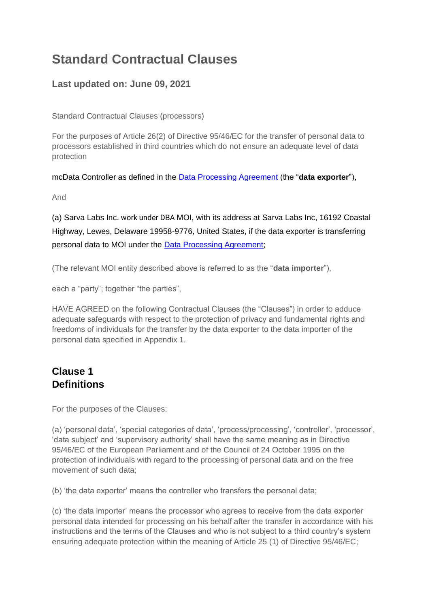# **Standard Contractual Clauses**

#### **Last updated on: June 09, 2021**

Standard Contractual Clauses (processors)

For the purposes of Article 26(2) of Directive 95/46/EC for the transfer of personal data to processors established in third countries which do not ensure an adequate level of data protection

mcData Controller as defined in the [Data Processing Agreement](https://www.moi.technology/dpa-policy.pdf) (the "**data exporter**"),

And

(a) Sarva Labs Inc. work under DBA MOI, with its address at Sarva Labs Inc, 16192 Coastal Highway, Lewes, Delaware 19958-9776, United States, if the data exporter is transferring personal data to MOI under the [Data Processing Agreement;](https://www.moi.technology/dpa-policy.pdf)

(The relevant MOI entity described above is referred to as the "**data importer**"),

each a "party"; together "the parties",

HAVE AGREED on the following Contractual Clauses (the "Clauses") in order to adduce adequate safeguards with respect to the protection of privacy and fundamental rights and freedoms of individuals for the transfer by the data exporter to the data importer of the personal data specified in Appendix 1.

#### **Clause 1 Definitions**

For the purposes of the Clauses:

(a) 'personal data', 'special categories of data', 'process/processing', 'controller', 'processor', 'data subject' and 'supervisory authority' shall have the same meaning as in Directive 95/46/EC of the European Parliament and of the Council of 24 October 1995 on the protection of individuals with regard to the processing of personal data and on the free movement of such data;

(b) 'the data exporter' means the controller who transfers the personal data;

(c) 'the data importer' means the processor who agrees to receive from the data exporter personal data intended for processing on his behalf after the transfer in accordance with his instructions and the terms of the Clauses and who is not subject to a third country's system ensuring adequate protection within the meaning of Article 25 (1) of Directive 95/46/EC;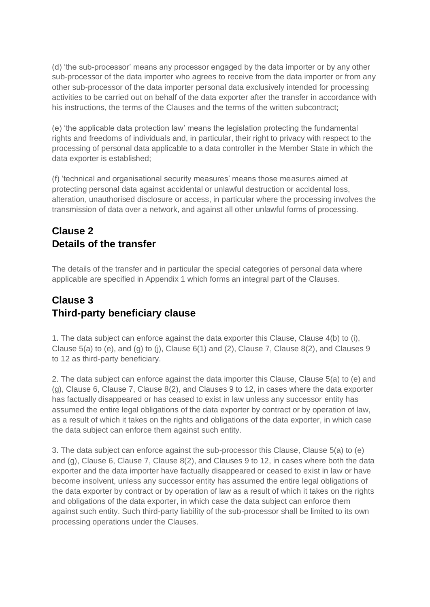(d) 'the sub-processor' means any processor engaged by the data importer or by any other sub-processor of the data importer who agrees to receive from the data importer or from any other sub-processor of the data importer personal data exclusively intended for processing activities to be carried out on behalf of the data exporter after the transfer in accordance with his instructions, the terms of the Clauses and the terms of the written subcontract;

(e) 'the applicable data protection law' means the legislation protecting the fundamental rights and freedoms of individuals and, in particular, their right to privacy with respect to the processing of personal data applicable to a data controller in the Member State in which the data exporter is established;

(f) 'technical and organisational security measures' means those measures aimed at protecting personal data against accidental or unlawful destruction or accidental loss, alteration, unauthorised disclosure or access, in particular where the processing involves the transmission of data over a network, and against all other unlawful forms of processing.

#### **Clause 2 Details of the transfer**

The details of the transfer and in particular the special categories of personal data where applicable are specified in Appendix 1 which forms an integral part of the Clauses.

## **Clause 3 Third-party beneficiary clause**

1. The data subject can enforce against the data exporter this Clause, Clause 4(b) to (i), Clause  $5(a)$  to (e), and (g) to (j), Clause  $6(1)$  and (2), Clause 7, Clause  $8(2)$ , and Clauses 9 to 12 as third-party beneficiary.

2. The data subject can enforce against the data importer this Clause, Clause 5(a) to (e) and (g), Clause 6, Clause 7, Clause 8(2), and Clauses 9 to 12, in cases where the data exporter has factually disappeared or has ceased to exist in law unless any successor entity has assumed the entire legal obligations of the data exporter by contract or by operation of law, as a result of which it takes on the rights and obligations of the data exporter, in which case the data subject can enforce them against such entity.

3. The data subject can enforce against the sub-processor this Clause, Clause 5(a) to (e) and (g), Clause 6, Clause 7, Clause 8(2), and Clauses 9 to 12, in cases where both the data exporter and the data importer have factually disappeared or ceased to exist in law or have become insolvent, unless any successor entity has assumed the entire legal obligations of the data exporter by contract or by operation of law as a result of which it takes on the rights and obligations of the data exporter, in which case the data subject can enforce them against such entity. Such third-party liability of the sub-processor shall be limited to its own processing operations under the Clauses.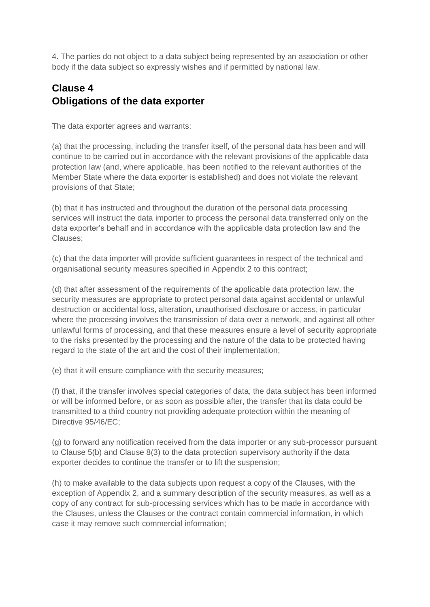4. The parties do not object to a data subject being represented by an association or other body if the data subject so expressly wishes and if permitted by national law.

### **Clause 4 Obligations of the data exporter**

The data exporter agrees and warrants:

(a) that the processing, including the transfer itself, of the personal data has been and will continue to be carried out in accordance with the relevant provisions of the applicable data protection law (and, where applicable, has been notified to the relevant authorities of the Member State where the data exporter is established) and does not violate the relevant provisions of that State;

(b) that it has instructed and throughout the duration of the personal data processing services will instruct the data importer to process the personal data transferred only on the data exporter's behalf and in accordance with the applicable data protection law and the Clauses;

(c) that the data importer will provide sufficient guarantees in respect of the technical and organisational security measures specified in Appendix 2 to this contract;

(d) that after assessment of the requirements of the applicable data protection law, the security measures are appropriate to protect personal data against accidental or unlawful destruction or accidental loss, alteration, unauthorised disclosure or access, in particular where the processing involves the transmission of data over a network, and against all other unlawful forms of processing, and that these measures ensure a level of security appropriate to the risks presented by the processing and the nature of the data to be protected having regard to the state of the art and the cost of their implementation;

(e) that it will ensure compliance with the security measures;

(f) that, if the transfer involves special categories of data, the data subject has been informed or will be informed before, or as soon as possible after, the transfer that its data could be transmitted to a third country not providing adequate protection within the meaning of Directive 95/46/EC;

(g) to forward any notification received from the data importer or any sub-processor pursuant to Clause 5(b) and Clause 8(3) to the data protection supervisory authority if the data exporter decides to continue the transfer or to lift the suspension;

(h) to make available to the data subjects upon request a copy of the Clauses, with the exception of Appendix 2, and a summary description of the security measures, as well as a copy of any contract for sub-processing services which has to be made in accordance with the Clauses, unless the Clauses or the contract contain commercial information, in which case it may remove such commercial information;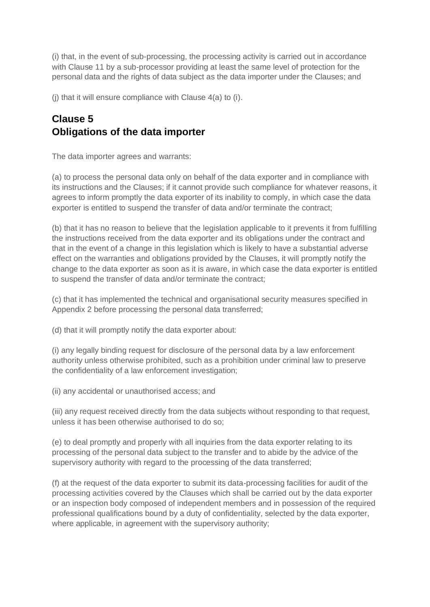(i) that, in the event of sub-processing, the processing activity is carried out in accordance with Clause 11 by a sub-processor providing at least the same level of protection for the personal data and the rights of data subject as the data importer under the Clauses; and

(j) that it will ensure compliance with Clause 4(a) to (i).

### **Clause 5 Obligations of the data importer**

The data importer agrees and warrants:

(a) to process the personal data only on behalf of the data exporter and in compliance with its instructions and the Clauses; if it cannot provide such compliance for whatever reasons, it agrees to inform promptly the data exporter of its inability to comply, in which case the data exporter is entitled to suspend the transfer of data and/or terminate the contract;

(b) that it has no reason to believe that the legislation applicable to it prevents it from fulfilling the instructions received from the data exporter and its obligations under the contract and that in the event of a change in this legislation which is likely to have a substantial adverse effect on the warranties and obligations provided by the Clauses, it will promptly notify the change to the data exporter as soon as it is aware, in which case the data exporter is entitled to suspend the transfer of data and/or terminate the contract;

(c) that it has implemented the technical and organisational security measures specified in Appendix 2 before processing the personal data transferred;

(d) that it will promptly notify the data exporter about:

(i) any legally binding request for disclosure of the personal data by a law enforcement authority unless otherwise prohibited, such as a prohibition under criminal law to preserve the confidentiality of a law enforcement investigation;

(ii) any accidental or unauthorised access; and

(iii) any request received directly from the data subjects without responding to that request, unless it has been otherwise authorised to do so;

(e) to deal promptly and properly with all inquiries from the data exporter relating to its processing of the personal data subject to the transfer and to abide by the advice of the supervisory authority with regard to the processing of the data transferred;

(f) at the request of the data exporter to submit its data-processing facilities for audit of the processing activities covered by the Clauses which shall be carried out by the data exporter or an inspection body composed of independent members and in possession of the required professional qualifications bound by a duty of confidentiality, selected by the data exporter, where applicable, in agreement with the supervisory authority;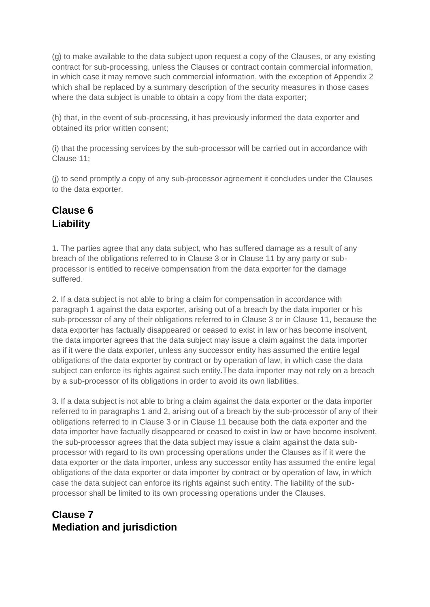(g) to make available to the data subject upon request a copy of the Clauses, or any existing contract for sub-processing, unless the Clauses or contract contain commercial information, in which case it may remove such commercial information, with the exception of Appendix 2 which shall be replaced by a summary description of the security measures in those cases where the data subject is unable to obtain a copy from the data exporter;

(h) that, in the event of sub-processing, it has previously informed the data exporter and obtained its prior written consent;

(i) that the processing services by the sub-processor will be carried out in accordance with Clause 11;

(j) to send promptly a copy of any sub-processor agreement it concludes under the Clauses to the data exporter.

#### **Clause 6 Liability**

1. The parties agree that any data subject, who has suffered damage as a result of any breach of the obligations referred to in Clause 3 or in Clause 11 by any party or subprocessor is entitled to receive compensation from the data exporter for the damage suffered.

2. If a data subject is not able to bring a claim for compensation in accordance with paragraph 1 against the data exporter, arising out of a breach by the data importer or his sub-processor of any of their obligations referred to in Clause 3 or in Clause 11, because the data exporter has factually disappeared or ceased to exist in law or has become insolvent, the data importer agrees that the data subject may issue a claim against the data importer as if it were the data exporter, unless any successor entity has assumed the entire legal obligations of the data exporter by contract or by operation of law, in which case the data subject can enforce its rights against such entity.The data importer may not rely on a breach by a sub-processor of its obligations in order to avoid its own liabilities.

3. If a data subject is not able to bring a claim against the data exporter or the data importer referred to in paragraphs 1 and 2, arising out of a breach by the sub-processor of any of their obligations referred to in Clause 3 or in Clause 11 because both the data exporter and the data importer have factually disappeared or ceased to exist in law or have become insolvent, the sub-processor agrees that the data subject may issue a claim against the data subprocessor with regard to its own processing operations under the Clauses as if it were the data exporter or the data importer, unless any successor entity has assumed the entire legal obligations of the data exporter or data importer by contract or by operation of law, in which case the data subject can enforce its rights against such entity. The liability of the subprocessor shall be limited to its own processing operations under the Clauses.

#### **Clause 7 Mediation and jurisdiction**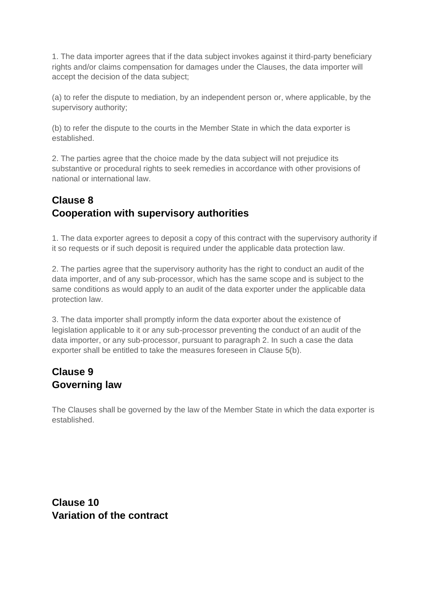1. The data importer agrees that if the data subject invokes against it third-party beneficiary rights and/or claims compensation for damages under the Clauses, the data importer will accept the decision of the data subject;

(a) to refer the dispute to mediation, by an independent person or, where applicable, by the supervisory authority;

(b) to refer the dispute to the courts in the Member State in which the data exporter is established.

2. The parties agree that the choice made by the data subject will not prejudice its substantive or procedural rights to seek remedies in accordance with other provisions of national or international law.

### **Clause 8 Cooperation with supervisory authorities**

1. The data exporter agrees to deposit a copy of this contract with the supervisory authority if it so requests or if such deposit is required under the applicable data protection law.

2. The parties agree that the supervisory authority has the right to conduct an audit of the data importer, and of any sub-processor, which has the same scope and is subject to the same conditions as would apply to an audit of the data exporter under the applicable data protection law.

3. The data importer shall promptly inform the data exporter about the existence of legislation applicable to it or any sub-processor preventing the conduct of an audit of the data importer, or any sub-processor, pursuant to paragraph 2. In such a case the data exporter shall be entitled to take the measures foreseen in Clause 5(b).

#### **Clause 9 Governing law**

The Clauses shall be governed by the law of the Member State in which the data exporter is established.

**Clause 10 Variation of the contract**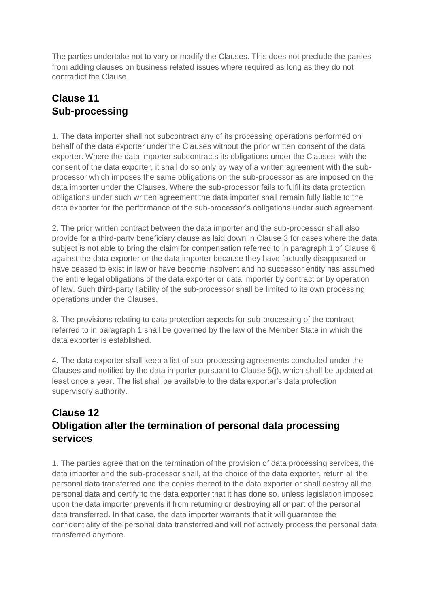The parties undertake not to vary or modify the Clauses. This does not preclude the parties from adding clauses on business related issues where required as long as they do not contradict the Clause.

### **Clause 11 Sub-processing**

1. The data importer shall not subcontract any of its processing operations performed on behalf of the data exporter under the Clauses without the prior written consent of the data exporter. Where the data importer subcontracts its obligations under the Clauses, with the consent of the data exporter, it shall do so only by way of a written agreement with the subprocessor which imposes the same obligations on the sub-processor as are imposed on the data importer under the Clauses. Where the sub-processor fails to fulfil its data protection obligations under such written agreement the data importer shall remain fully liable to the data exporter for the performance of the sub-processor's obligations under such agreement.

2. The prior written contract between the data importer and the sub-processor shall also provide for a third-party beneficiary clause as laid down in Clause 3 for cases where the data subject is not able to bring the claim for compensation referred to in paragraph 1 of Clause 6 against the data exporter or the data importer because they have factually disappeared or have ceased to exist in law or have become insolvent and no successor entity has assumed the entire legal obligations of the data exporter or data importer by contract or by operation of law. Such third-party liability of the sub-processor shall be limited to its own processing operations under the Clauses.

3. The provisions relating to data protection aspects for sub-processing of the contract referred to in paragraph 1 shall be governed by the law of the Member State in which the data exporter is established.

4. The data exporter shall keep a list of sub-processing agreements concluded under the Clauses and notified by the data importer pursuant to Clause 5(j), which shall be updated at least once a year. The list shall be available to the data exporter's data protection supervisory authority.

#### **Clause 12 Obligation after the termination of personal data processing services**

1. The parties agree that on the termination of the provision of data processing services, the data importer and the sub-processor shall, at the choice of the data exporter, return all the personal data transferred and the copies thereof to the data exporter or shall destroy all the personal data and certify to the data exporter that it has done so, unless legislation imposed upon the data importer prevents it from returning or destroying all or part of the personal data transferred. In that case, the data importer warrants that it will guarantee the confidentiality of the personal data transferred and will not actively process the personal data transferred anymore.